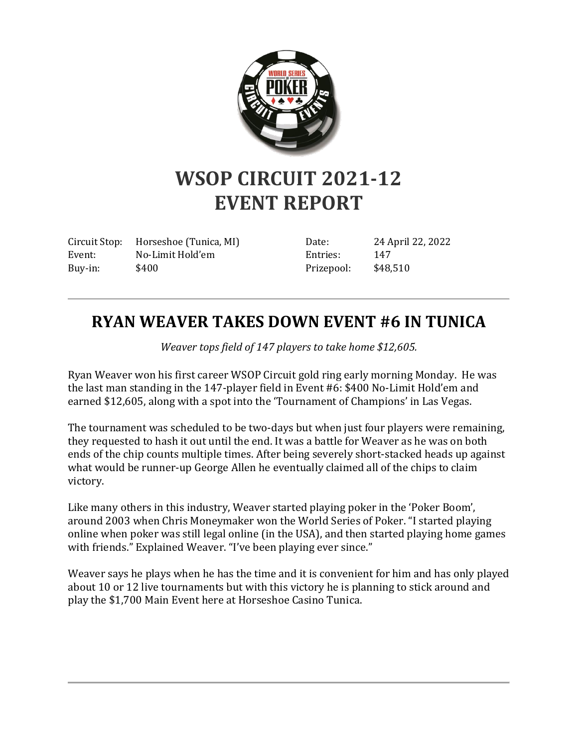

## **WSOP CIRCUIT 2021-12 EVENT REPORT**

Circuit Stop: Horseshoe (Tunica, MI) Event: No-Limit Hold'em Buy-in: \$400

Date: 24 April 22, 2022 Entries: 147 Prizepool: \$48,510

## **RYAN WEAVER TAKES DOWN EVENT #6 IN TUNICA**

*Weaver tops field of 147 players to take home \$12,605.*

Ryan Weaver won his first career WSOP Circuit gold ring early morning Monday. He was the last man standing in the 147-player field in Event #6: \$400 No-Limit Hold'em and earned \$12,605, along with a spot into the 'Tournament of Champions' in Las Vegas.

The tournament was scheduled to be two-days but when just four players were remaining, they requested to hash it out until the end. It was a battle for Weaver as he was on both ends of the chip counts multiple times. After being severely short-stacked heads up against what would be runner-up George Allen he eventually claimed all of the chips to claim victory.

Like many others in this industry, Weaver started playing poker in the 'Poker Boom', around 2003 when Chris Moneymaker won the World Series of Poker. "I started playing online when poker was still legal online (in the USA), and then started playing home games with friends." Explained Weaver. "I've been playing ever since."

Weaver says he plays when he has the time and it is convenient for him and has only played about 10 or 12 live tournaments but with this victory he is planning to stick around and play the \$1,700 Main Event here at Horseshoe Casino Tunica.